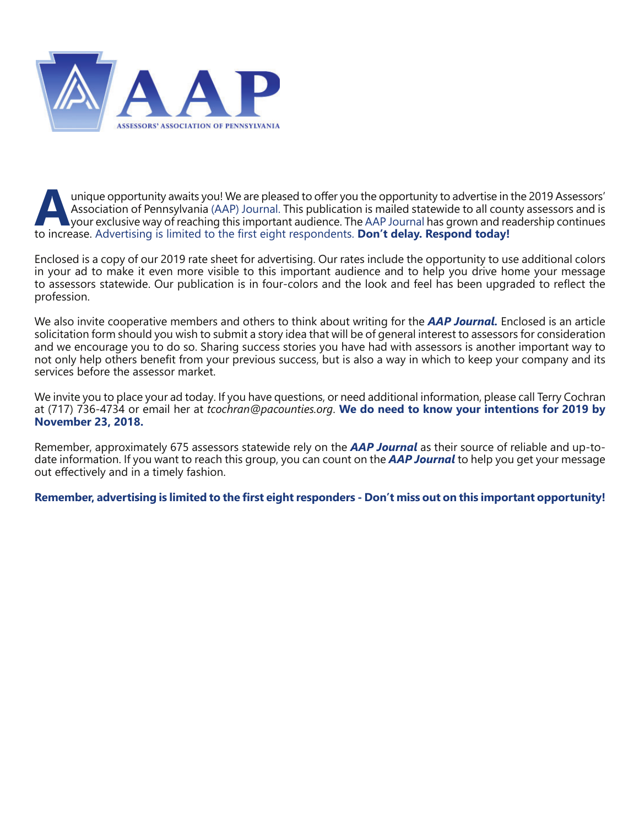

unique opportunity awaits you! We are pleased to offer you the opportunity to advertise in the 2019 Assessors'<br>Association of Pennsylvania (AAP) Journal. This publication is mailed statewide to all county assessors and is<br> Association of Pennsylvania (AAP) Journal. This publication is mailed statewide to all county assessors and is to increase. Advertising is limited to the first eight respondents. **Don't delay. Respond today!** 

Enclosed is a copy of our 2019 rate sheet for advertising. Our rates include the opportunity to use additional colors in your ad to make it even more visible to this important audience and to help you drive home your message to assessors statewide. Our publication is in four-colors and the look and feel has been upgraded to reflect the profession.

We also invite cooperative members and others to think about writing for the *AAP Journal.* Enclosed is an article solicitation form should you wish to submit a story idea that will be of general interest to assessors for consideration and we encourage you to do so. Sharing success stories you have had with assessors is another important way to not only help others benefit from your previous success, but is also a way in which to keep your company and its services before the assessor market.

We invite you to place your ad today. If you have questions, or need additional information, please call Terry Cochran at (717) 736-4734 or email her at *tcochran@pacounties.org*. **We do need to know your intentions for 2019 by November 23, 2018.**

Remember, approximately 675 assessors statewide rely on the *AAP Journal* as their source of reliable and up-todate information. If you want to reach this group, you can count on the *AAP Journal* to help you get your message out effectively and in a timely fashion.

Remember, advertising is limited to the first eight responders - Don't miss out on this important opportunity!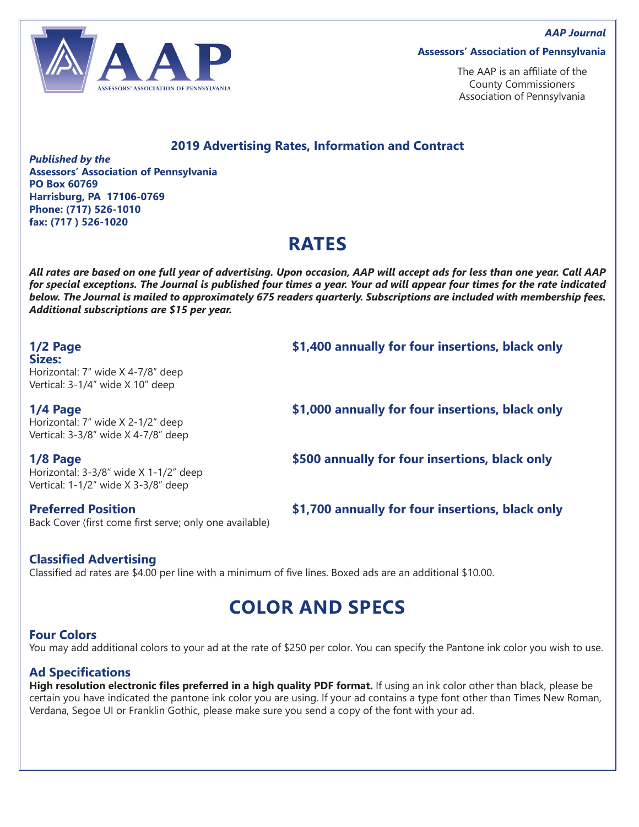

#### **Assessors' Association of Pennsylvania**

The AAP is an affiliate of the County Commissioners Association of Pennsylvania

#### **2019 Advertising Rates, Information and Contract**

*Published by the* **Assessors' Association of Pennsylvania PO Box 60769 Harrisburg, PA 17106-0769 Phone: (717) 526-1010 fax: (717 ) 526-1020**

## **RATES**

*All rates are based on one full year of advertising. Upon occasion, AAP will accept ads for less than one year. Call AAP for special exceptions. The Journal is published four times a year. Your ad will appear four times for the rate indicated below. The Journal is mailed to approximately 675 readers quarterly. Subscriptions are included with membership fees. Additional subscriptions are \$15 per year.* 

# **Sizes:**

Horizontal: 7" wide X 4-7/8" deep Vertical: 3-1/4" wide X 10" deep

Horizontal: 7" wide X 2-1/2" deep Vertical: 3-3/8" wide X 4-7/8" deep

Horizontal: 3-3/8" wide X 1-1/2" deep Vertical: 1-1/2" wide X 3-3/8" deep

Back Cover (first come first serve; only one available)

**1/2 Page \$1,400 annually for four insertions, black only**

**1/4 Page \$1,000 annually for four insertions, black only**

**1/8 Page \$500 annually for four insertions, black only**

**Preferred Position 61,700 annually for four insertions, black only** 

## **Classified Advertising**

Classified ad rates are \$4.00 per line with a minimum of five lines. Boxed ads are an additional \$10.00.

## **COLOR AND SPECS**

#### **Four Colors**

You may add additional colors to your ad at the rate of \$250 per color. You can specify the Pantone ink color you wish to use.

#### **Ad Specifications**

**High resolution electronic files preferred in a high quality PDF format.** If using an ink color other than black, please be certain you have indicated the pantone ink color you are using. If your ad contains a type font other than Times New Roman, Verdana, Segoe UI or Franklin Gothic, please make sure you send a copy of the font with your ad.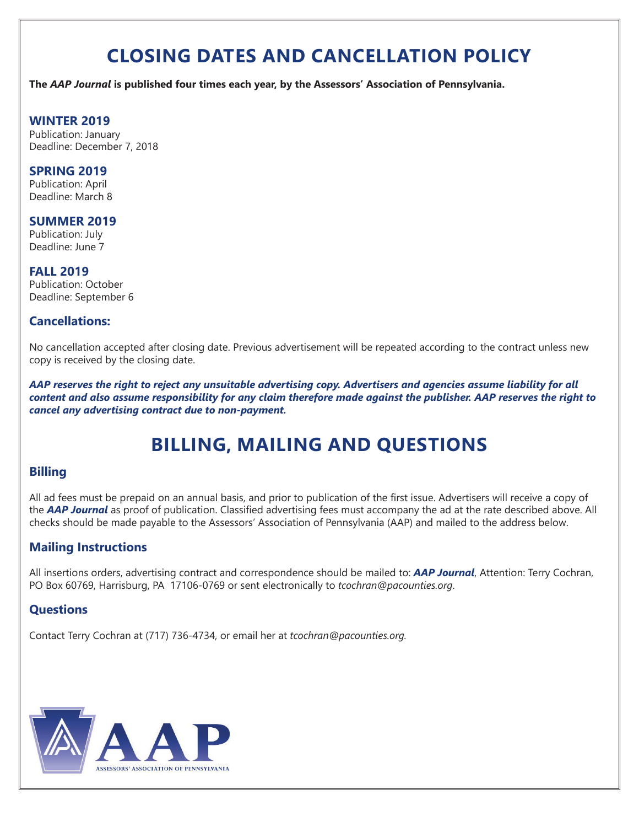# **CLOSING DATES AND CANCELLATION POLICY**

**The** *AAP Journal* **is published four times each year, by the Assessors' Association of Pennsylvania.** 

#### **WINTER 2019**

Publication: January Deadline: December 7, 2018

#### **SPRING 2019**

Publication: April Deadline: March 8

#### **SUMMER 2019**

Publication: July Deadline: June 7

#### **FALL 2019**

Publication: October Deadline: September 6

## **Cancellations:**

No cancellation accepted after closing date. Previous advertisement will be repeated according to the contract unless new copy is received by the closing date.

*AAP reserves the right to reject any unsuitable advertising copy. Advertisers and agencies assume liability for all content and also assume responsibility for any claim therefore made against the publisher. AAP reserves the right to cancel any advertising contract due to non-payment.* 

# **BILLING, MAILING AND QUESTIONS**

## **Billing**

All ad fees must be prepaid on an annual basis, and prior to publication of the first issue. Advertisers will receive a copy of the **AAP Journal** as proof of publication. Classified advertising fees must accompany the ad at the rate described above. All checks should be made payable to the Assessors' Association of Pennsylvania (AAP) and mailed to the address below.

## **Mailing Instructions**

All insertions orders, advertising contract and correspondence should be mailed to: *AAP Journal*, Attention: Terry Cochran, PO Box 60769, Harrisburg, PA 17106-0769 or sent electronically to *tcochran@pacounties.org*.

## **Questions**

Contact Terry Cochran at (717) 736-4734, or email her at *tcochran@pacounties.org.* 

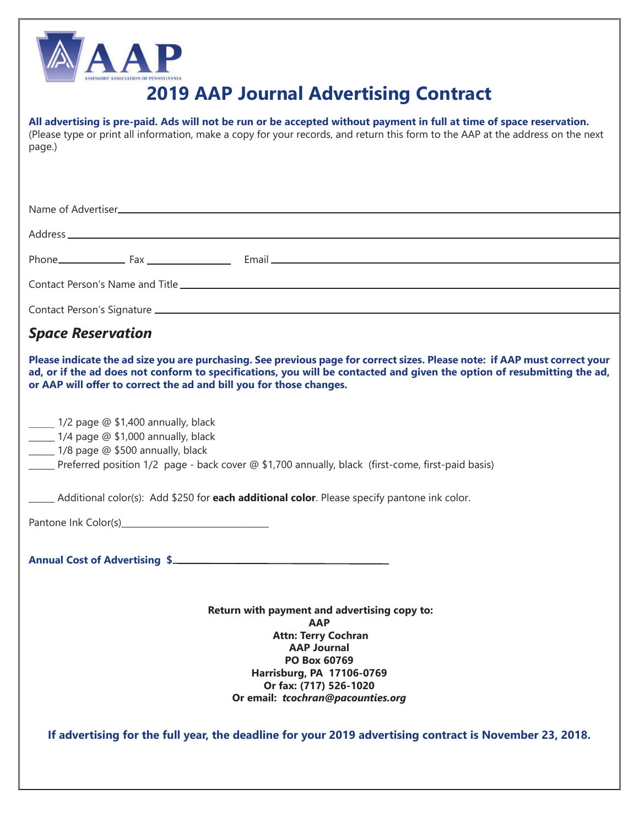

# **2019 AAP Journal Advertising Contract**

| All advertising is pre-paid. Ads will not be run or be accepted without payment in full at time of space reservation.<br>(Please type or print all information, make a copy for your records, and return this form to the AAP at the address on the next<br>page.)                                                           |
|------------------------------------------------------------------------------------------------------------------------------------------------------------------------------------------------------------------------------------------------------------------------------------------------------------------------------|
|                                                                                                                                                                                                                                                                                                                              |
|                                                                                                                                                                                                                                                                                                                              |
|                                                                                                                                                                                                                                                                                                                              |
|                                                                                                                                                                                                                                                                                                                              |
|                                                                                                                                                                                                                                                                                                                              |
|                                                                                                                                                                                                                                                                                                                              |
| <b>Space Reservation</b>                                                                                                                                                                                                                                                                                                     |
| Please indicate the ad size you are purchasing. See previous page for correct sizes. Please note: if AAP must correct your<br>ad, or if the ad does not conform to specifications, you will be contacted and given the option of resubmitting the ad,<br>or AAP will offer to correct the ad and bill you for those changes. |
| 1/2 page @ \$1,400 annually, black<br>1/4 page @ \$1,000 annually, black<br>______ 1/8 page @ \$500 annually, black<br>Preferred position 1/2 page - back cover @ \$1,700 annually, black (first-come, first-paid basis)                                                                                                     |
| ______ Additional color(s): Add \$250 for each additional color. Please specify pantone ink color.                                                                                                                                                                                                                           |
|                                                                                                                                                                                                                                                                                                                              |
| Annual Cost of Advertising \$                                                                                                                                                                                                                                                                                                |
|                                                                                                                                                                                                                                                                                                                              |
| Return with payment and advertising copy to:<br><b>AAP</b>                                                                                                                                                                                                                                                                   |
| <b>Attn: Terry Cochran</b><br><b>AAP Journal</b><br>PO Box 60769<br>Harrisburg, PA 17106-0769<br>Or fax: (717) 526-1020<br>Or email: tcochran@pacounties.org                                                                                                                                                                 |
| If advertising for the full year, the deadline for your 2019 advertising contract is November 23, 2018.                                                                                                                                                                                                                      |